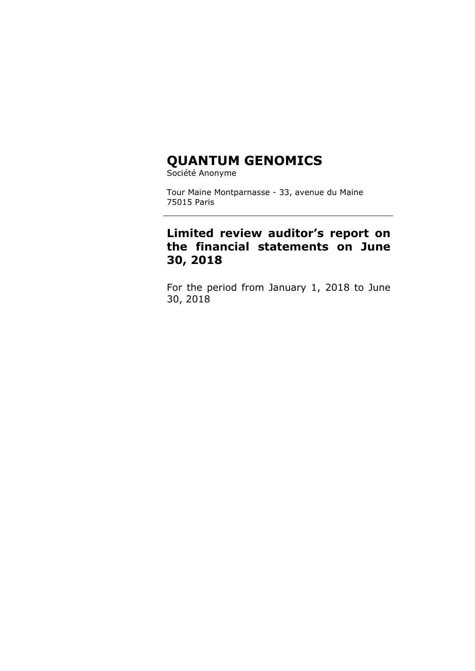# **QUANTUM GENOMICS**

Société Anonyme

Tour Maine Montparnasse - 33, avenue du Maine 75015 Paris

## **Limited review auditor's report on the financial statements on June 30, 2018**

For the period from January 1, 2018 to June 30, 2018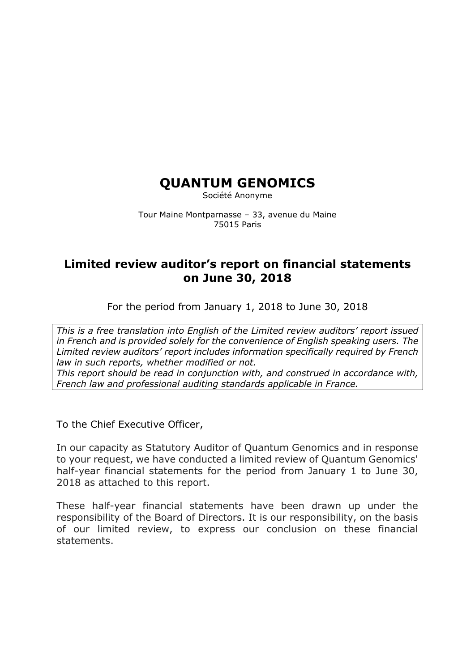## **QUANTUM GENOMICS**

Société Anonyme

Tour Maine Montparnasse – 33, avenue du Maine 75015 Paris

## **Limited review auditor's report on financial statements on June 30, 2018**

For the period from January 1, 2018 to June 30, 2018

*This is a free translation into English of the Limited review auditors' report issued in French and is provided solely for the convenience of English speaking users. The Limited review auditors' report includes information specifically required by French law in such reports, whether modified or not. This report should be read in conjunction with, and construed in accordance with, French law and professional auditing standards applicable in France.*

To the Chief Executive Officer,

In our capacity as Statutory Auditor of Quantum Genomics and in response to your request, we have conducted a limited review of Quantum Genomics' half-year financial statements for the period from January 1 to June 30, 2018 as attached to this report.

These half-year financial statements have been drawn up under the responsibility of the Board of Directors. It is our responsibility, on the basis of our limited review, to express our conclusion on these financial statements.